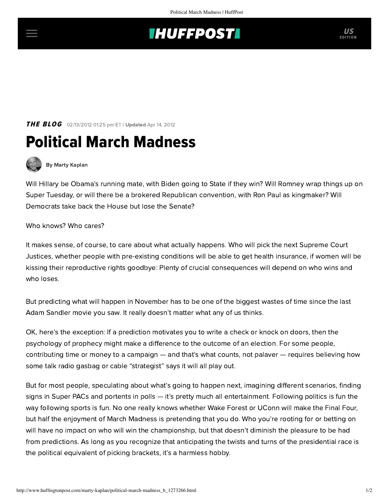## **THUFFPOST**

**THE BLOG** 02/13/2012 01:25 pm ET | Updated Apr 14, 2012

## Political March Madness



[By Marty Kaplan](http://www.huffingtonpost.com/author/marty-kaplan)

Will Hillary be Obama's running mate, with Biden going to State if they win? Will Romney wrap things up on Super Tuesday, or will there be a brokered Republican convention, with Ron Paul as kingmaker? Will Democrats take back the House but lose the Senate?

Who knows? Who cares?

It makes sense, of course, to care about what actually happens. Who will pick the next Supreme Court Justices, whether people with pre-existing conditions will be able to get health insurance, if women will be kissing their reproductive rights goodbye: Plenty of crucial consequences will depend on who wins and who loses.

But predicting what will happen in November has to be one of the biggest wastes of time since the last Adam Sandler movie you saw. It really doesn't matter what any of us thinks.

OK, here's the exception: If a prediction motivates you to write a check or knock on doors, then the psychology of prophecy might make a difference to the outcome of an election. For some people, contributing time or money to a campaign — and that's what counts, not palaver — requires believing how some talk radio gasbag or cable "strategist" says it will all play out.

But for most people, speculating about what's going to happen next, imagining different scenarios, finding signs in Super PACs and portents in polls — it's pretty much all entertainment. Following politics is fun the way following sports is fun. No one really knows whether Wake Forest or UConn will make the Final Four, but half the enjoyment of March Madness is pretending that you do. Who you're rooting for or betting on will have no impact on who will win the championship, but that doesn't diminish the pleasure to be had from predictions. As long as you recognize that anticipating the twists and turns of the presidential race is the political equivalent of picking brackets, it's a harmless hobby.